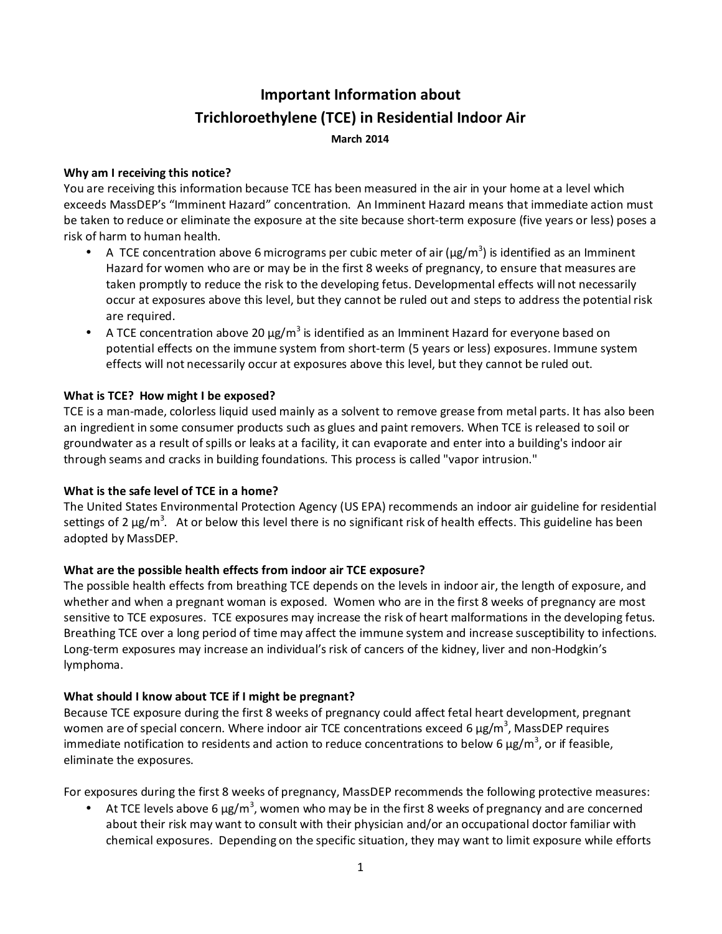# **Important Information about Trichloroethylene (TCE) in Residential Indoor Air March 2014**

## **Why am I receiving this notice?**

You are receiving this information because TCE has been measured in the air in your home at a level which exceeds MassDEP's "Imminent Hazard" concentration. An Imminent Hazard means that immediate action must be taken to reduce or eliminate the exposure at the site because short-term exposure (five years or less) poses a risk of harm to human health.

- A TCE concentration above 6 micrograms per cubic meter of air ( $\mu$ g/m<sup>3</sup>) is identified as an Imminent Hazard for women who are or may be in the first 8 weeks of pregnancy, to ensure that measures are taken promptly to reduce the risk to the developing fetus. Developmental effects will not necessarily occur at exposures above this level, but they cannot be ruled out and steps to address the potential risk are required.
- A TCE concentration above 20  $\mu$ g/m<sup>3</sup> is identified as an Imminent Hazard for everyone based on potential effects on the immune system from short-term (5 years or less) exposures. Immune system effects will not necessarily occur at exposures above this level, but they cannot be ruled out.

## **What is TCE? How might I be exposed?**

TCE is a man-made, colorless liquid used mainly as a solvent to remove grease from metal parts. It has also been an ingredient in some consumer products such as glues and paint removers. When TCE is released to soil or groundwater as a result of spills or leaks at a facility, it can evaporate and enter into a building's indoor air through seams and cracks in building foundations. This process is called "vapor intrusion."

## **What is the safe level of TCE in a home?**

The United States Environmental Protection Agency (US EPA) recommends an indoor air guideline for residential settings of 2  $\mu$ g/m<sup>3</sup>. At or below this level there is no significant risk of health effects. This guideline has been adopted by MassDEP.

## **What are the possible health effects from indoor air TCE exposure?**

The possible health effects from breathing TCE depends on the levels in indoor air, the length of exposure, and whether and when a pregnant woman is exposed. Women who are in the first 8 weeks of pregnancy are most sensitive to TCE exposures. TCE exposures may increase the risk of heart malformations in the developing fetus. Breathing TCE over a long period of time may affect the immune system and increase susceptibility to infections. Long-term exposures may increase an individual's risk of cancers of the kidney, liver and non-Hodgkin's lymphoma.

## **What should I know about TCE if I might be pregnant?**

Because TCE exposure during the first 8 weeks of pregnancy could affect fetal heart development, pregnant women are of special concern. Where indoor air TCE concentrations exceed 6  $\mu$ g/m<sup>3</sup>, MassDEP requires immediate notification to residents and action to reduce concentrations to below 6  $\mu$ g/m<sup>3</sup>, or if feasible, eliminate the exposures.

For exposures during the first 8 weeks of pregnancy, MassDEP recommends the following protective measures:

• At TCE levels above 6  $\mu$ g/m<sup>3</sup>, women who may be in the first 8 weeks of pregnancy and are concerned about their risk may want to consult with their physician and/or an occupational doctor familiar with chemical exposures. Depending on the specific situation, they may want to limit exposure while efforts